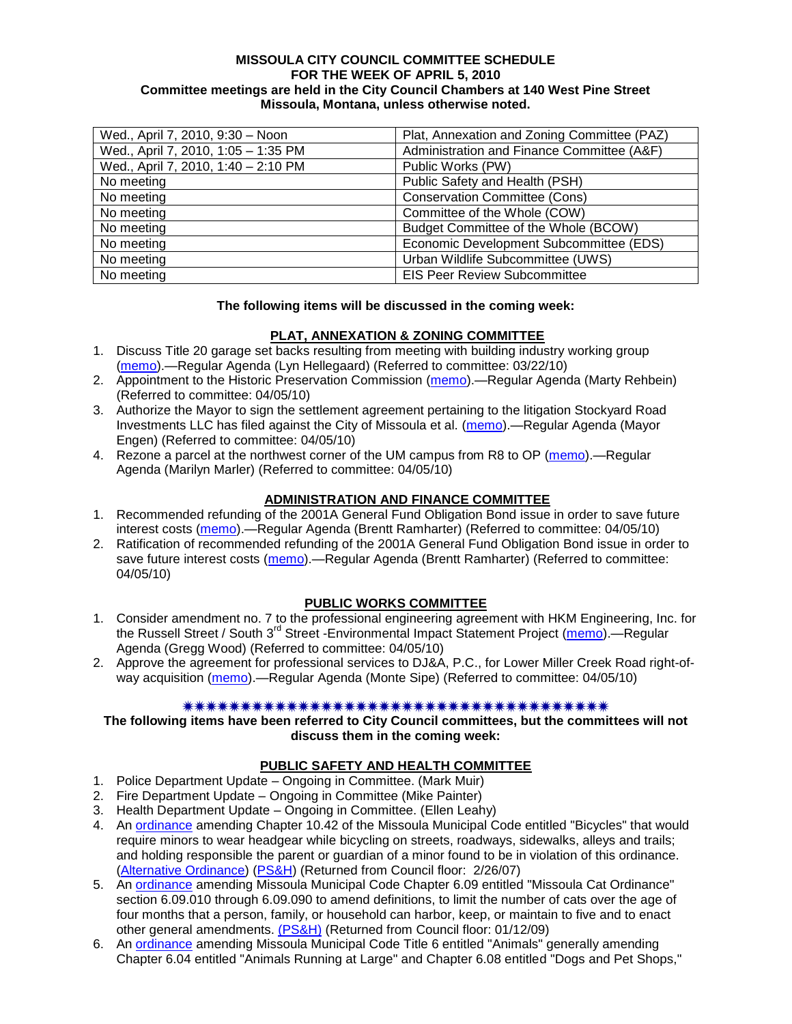### **MISSOULA CITY COUNCIL COMMITTEE SCHEDULE FOR THE WEEK OF APRIL 5, 2010 Committee meetings are held in the City Council Chambers at 140 West Pine Street Missoula, Montana, unless otherwise noted.**

| Wed., April 7, 2010, 9:30 - Noon    | Plat, Annexation and Zoning Committee (PAZ) |
|-------------------------------------|---------------------------------------------|
| Wed., April 7, 2010, 1:05 - 1:35 PM | Administration and Finance Committee (A&F)  |
| Wed., April 7, 2010, 1:40 - 2:10 PM | Public Works (PW)                           |
| No meeting                          | Public Safety and Health (PSH)              |
| No meeting                          | <b>Conservation Committee (Cons)</b>        |
| No meeting                          | Committee of the Whole (COW)                |
| No meeting                          | Budget Committee of the Whole (BCOW)        |
| No meeting                          | Economic Development Subcommittee (EDS)     |
| No meeting                          | Urban Wildlife Subcommittee (UWS)           |
| No meeting                          | <b>EIS Peer Review Subcommittee</b>         |

## **The following items will be discussed in the coming week:**

## **PLAT, ANNEXATION & ZONING COMMITTEE**

- 1. Discuss Title 20 garage set backs resulting from meeting with building industry working group [\(memo\)](http://www.ci.missoula.mt.us/DocumentView.aspx?DID=3367).—Regular Agenda (Lyn Hellegaard) (Referred to committee: 03/22/10)
- 2. Appointment to the Historic Preservation Commission [\(memo\)](http://www.ci.missoula.mt.us/DocumentView.aspx?DID=3437).—Regular Agenda (Marty Rehbein) (Referred to committee: 04/05/10)
- 3. Authorize the Mayor to sign the settlement agreement pertaining to the litigation Stockyard Road Investments LLC has filed against the City of Missoula et al. [\(memo\)](http://www.ci.missoula.mt.us/DocumentView.aspx?DID=3447).—Regular Agenda (Mayor Engen) (Referred to committee: 04/05/10)
- 4. Rezone a parcel at the northwest corner of the UM campus from R8 to OP [\(memo\)](http://www.ci.missoula.mt.us/DocumentView.aspx?DID=3435).—Regular Agenda (Marilyn Marler) (Referred to committee: 04/05/10)

## **ADMINISTRATION AND FINANCE COMMITTEE**

- 1. Recommended refunding of the 2001A General Fund Obligation Bond issue in order to save future interest costs [\(memo\)](http://www.ci.missoula.mt.us/DocumentView.aspx?DID=3445).—Regular Agenda (Brentt Ramharter) (Referred to committee: 04/05/10)
- 2. Ratification of recommended refunding of the 2001A General Fund Obligation Bond issue in order to save future interest costs [\(memo\)](http://www.ci.missoula.mt.us/DocumentView.aspx?DID=3446).—Regular Agenda (Brentt Ramharter) (Referred to committee: 04/05/10)

### **PUBLIC WORKS COMMITTEE**

- 1. Consider amendment no. 7 to the professional engineering agreement with HKM Engineering, Inc. for the Russell Street / South 3<sup>rd</sup> Street -Environmental Impact Statement Project [\(memo\)](http://www.ci.missoula.mt.us/DocumentView.aspx?DID=3434).—Regular Agenda (Gregg Wood) (Referred to committee: 04/05/10)
- 2. Approve the agreement for professional services to DJ&A, P.C., for Lower Miller Creek Road right-ofway acquisition [\(memo\)](http://www.ci.missoula.mt.us/DocumentView.aspx?DID=3433).—Regular Agenda (Monte Sipe) (Referred to committee: 04/05/10)

### 

**The following items have been referred to City Council committees, but the committees will not discuss them in the coming week:**

### **PUBLIC SAFETY AND HEALTH COMMITTEE**

- 1. Police Department Update Ongoing in Committee. (Mark Muir)
- 2. Fire Department Update Ongoing in Committee (Mike Painter)
- 3. Health Department Update Ongoing in Committee. (Ellen Leahy)
- 4. An [ordinance](ftp://ftp.ci.missoula.mt.us/Packets/Council/2007/2007-02-05/07-01-31 Helmet and bikes psh.htm) amending Chapter 10.42 of the Missoula Municipal Code entitled "Bicycles" that would require minors to wear headgear while bicycling on streets, roadways, sidewalks, alleys and trails; and holding responsible the parent or guardian of a minor found to be in violation of this ordinance. [\(Alternative Ordinance\)](ftp://ftp.ci.missoula.mt.us/Packets/Council/2007/2007-02-26/07-02-19_Alternative_Helmet_and_bikes.htm) [\(PS&H\)](ftp://ftp.ci.missoula.mt.us/Packets/Council/2007/2007-02-05/070131psh.pdf) (Returned from Council floor: 2/26/07)
- 5. An [ordinance](ftp://ftp.ci.missoula.mt.us/Packets/Council/2008/2008-12-15/2008CatOrdinanceAmendment%5B1%5D.pdf) amending Missoula Municipal Code Chapter 6.09 entitled "Missoula Cat Ordinance" section 6.09.010 through 6.09.090 to amend definitions, to limit the number of cats over the age of four months that a person, family, or household can harbor, keep, or maintain to five and to enact other general amendments. [\(PS&H\)](ftp://ftp.ci.missoula.mt.us/Packets/Council/2008/2008-12-15/081210psh.pdf) (Returned from Council floor: 01/12/09)
- 6. An [ordinance](ftp://ftp.ci.missoula.mt.us/Packets/Council/2008/2008-12-15/DogOrdinance--PSHrevisions.pdf) amending Missoula Municipal Code Title 6 entitled "Animals" generally amending Chapter 6.04 entitled "Animals Running at Large" and Chapter 6.08 entitled "Dogs and Pet Shops,"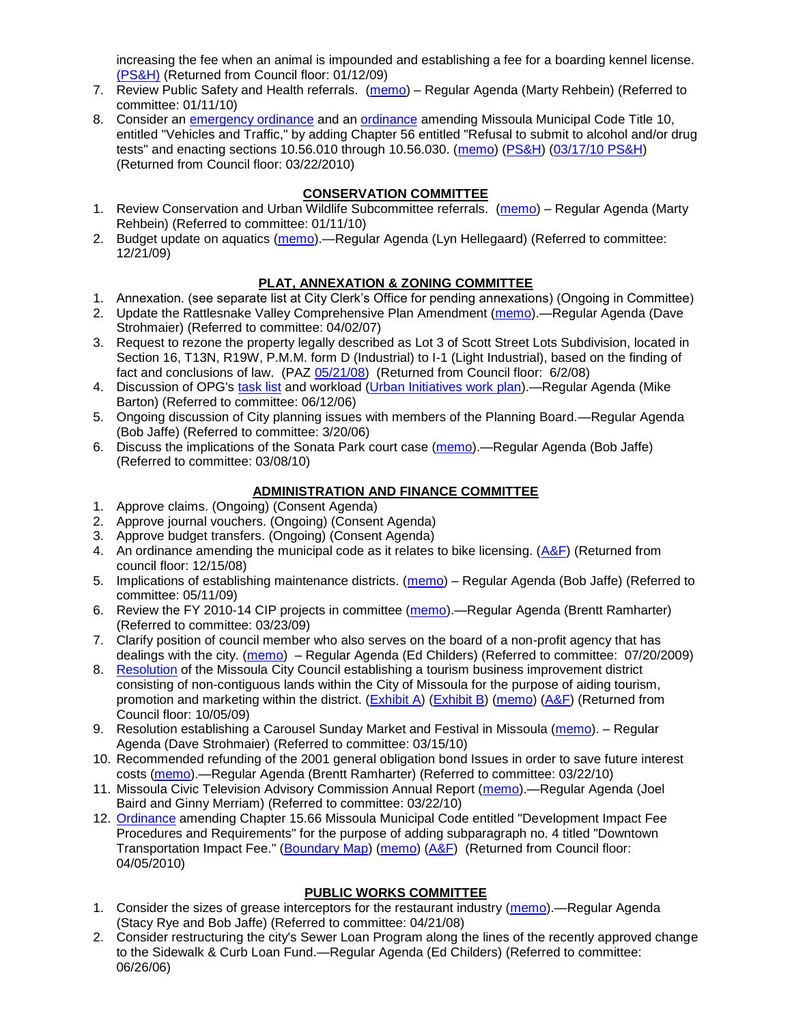increasing the fee when an animal is impounded and establishing a fee for a boarding kennel license. [\(PS&H\)](ftp://ftp.ci.missoula.mt.us/Packets/Council/2008/2008-12-15/081210psh.pdf) (Returned from Council floor: 01/12/09)

- 7. Review Public Safety and Health referrals. [\(memo\)](http://www.ci.missoula.mt.us/DocumentView.aspx?DID=2933) Regular Agenda (Marty Rehbein) (Referred to committee: 01/11/10)
- 8. Consider an [emergency ordinance](http://www.ci.missoula.mt.us/DocumentView.aspx?DID=3152) and an [ordinance](http://www.ci.missoula.mt.us/DocumentView.aspx?DID=3130) amending Missoula Municipal Code Title 10, entitled "Vehicles and Traffic," by adding Chapter 56 entitled "Refusal to submit to alcohol and/or drug tests" and enacting sections 10.56.010 through 10.56.030. [\(memo\)](http://www.ci.missoula.mt.us/DocumentView.aspx?DID=3131) [\(PS&H\)](http://www.ci.missoula.mt.us/Archive.aspx?ADID=1954) [\(03/17/10 PS&H\)](http://www.ci.missoula.mt.us/Archive.aspx?ADID=2112) (Returned from Council floor: 03/22/2010)

# **CONSERVATION COMMITTEE**

- 1. Review Conservation and Urban Wildlife Subcommittee referrals. [\(memo\)](http://www.ci.missoula.mt.us/DocumentView.aspx?DID=2933) Regular Agenda (Marty Rehbein) (Referred to committee: 01/11/10)
- 2. Budget update on aquatics [\(memo\)](http://www.ci.missoula.mt.us/DocumentView.aspx?DID=2864).—Regular Agenda (Lyn Hellegaard) (Referred to committee: 12/21/09)

# **PLAT, ANNEXATION & ZONING COMMITTEE**

- 1. Annexation. (see separate list at City Clerk's Office for pending annexations) (Ongoing in Committee)
- 2. Update the Rattlesnake Valley Comprehensive Plan Amendment [\(memo\)](ftp://ftp.ci.missoula.mt.us/Packets/Council/2007/2007-04-02/Referrals/Rattlesnake_Plan_Update_referral.pdf).—Regular Agenda (Dave Strohmaier) (Referred to committee: 04/02/07)
- 3. Request to rezone the property legally described as Lot 3 of Scott Street Lots Subdivision, located in Section 16, T13N, R19W, P.M.M. form D (Industrial) to I-1 (Light Industrial), based on the finding of fact and conclusions of law. (PAZ [05/21/08\)](ftp://ftp.ci.missoula.mt.us/Packets/Council/2008/2008-06-02/080521paz.pdf) (Returned from Council floor: 6/2/08)
- 4. Discussion of OPG's [task list](ftp://ftp.ci.missoula.mt.us/Packets/Council/2008/2008-07-07/UITaskList.pdf) and workload [\(Urban Initiatives work plan\)](ftp://ftp.ci.missoula.mt.us/Packets/Council/2006/2006-06-12/Referrals/Urban_Init.htm).—Regular Agenda (Mike Barton) (Referred to committee: 06/12/06)
- 5. Ongoing discussion of City planning issues with members of the Planning Board.—Regular Agenda (Bob Jaffe) (Referred to committee: 3/20/06)
- 6. Discuss the implications of the Sonata Park court case [\(memo\)](http://www.ci.missoula.mt.us/DocumentView.aspx?DID=3268).—Regular Agenda (Bob Jaffe) (Referred to committee: 03/08/10)

# **ADMINISTRATION AND FINANCE COMMITTEE**

- 1. Approve claims. (Ongoing) (Consent Agenda)
- 2. Approve journal vouchers. (Ongoing) (Consent Agenda)
- 3. Approve budget transfers. (Ongoing) (Consent Agenda)
- 4. An ordinance amending the municipal code as it relates to bike licensing.  $(A&F)$  (Returned from council floor: 12/15/08)
- 5. Implications of establishing maintenance districts. [\(memo\)](ftp://ftp.ci.missoula.mt.us/Packets/Council/2009/2009-05-11/Referrals/MaintenanceDistricts.pdf) Regular Agenda (Bob Jaffe) (Referred to committee: 05/11/09)
- 6. Review the FY 2010-14 CIP projects in committee [\(memo\)](ftp://ftp.ci.missoula.mt.us/Packets/Council/2009/2009-03-23/Referrals/RefAFCIPBudgetReviewFY2010-2014CIP.pdf).—Regular Agenda (Brentt Ramharter) (Referred to committee: 03/23/09)
- 7. Clarify position of council member who also serves on the board of a non-profit agency that has dealings with the city. [\(memo\)](http://www.ci.missoula.mt.us/DocumentView.aspx?DID=1840) – Regular Agenda (Ed Childers) (Referred to committee: 07/20/2009)
- 8. [Resolution](http://www.ci.missoula.mt.us/DocumentView.aspx?DID=2373) of the Missoula City Council establishing a tourism business improvement district consisting of non-contiguous lands within the City of Missoula for the purpose of aiding tourism, promotion and marketing within the district. [\(Exhibit A\)](http://www.ci.missoula.mt.us/DocumentView.aspx?DID=2090) [\(Exhibit B\)](http://www.ci.missoula.mt.us/DocumentView.aspx?DID=2374) [\(memo\)](http://www.ci.missoula.mt.us/DocumentView.aspx?DID=2097) [\(A&F\)](http://www.ci.missoula.mt.us/Archive.aspx?ADID=1172) (Returned from Council floor: 10/05/09)
- 9. Resolution establishing a Carousel Sunday Market and Festival in Missoula [\(memo\)](http://www.ci.missoula.mt.us/DocumentView.aspx?DID=3333). Regular Agenda (Dave Strohmaier) (Referred to committee: 03/15/10)
- 10. Recommended refunding of the 2001 general obligation bond Issues in order to save future interest costs [\(memo\)](http://www.ci.missoula.mt.us/DocumentView.aspx?DID=3364).—Regular Agenda (Brentt Ramharter) (Referred to committee: 03/22/10)
- 11. Missoula Civic Television Advisory Commission Annual Report [\(memo\)](http://www.ci.missoula.mt.us/DocumentView.aspx?DID=3370).—Regular Agenda (Joel Baird and Ginny Merriam) (Referred to committee: 03/22/10)
- 12. [Ordinance](http://www.ci.missoula.mt.us/DocumentView.aspx?DID=3264) amending Chapter 15.66 Missoula Municipal Code entitled "Development Impact Fee Procedures and Requirements" for the purpose of adding subparagraph no. 4 titled "Downtown Transportation Impact Fee." [\(Boundary Map\)](ftp://ftp.ci.missoula.mt.us/Documents/Mayor/IFAC/2010/IFACTransImpactFeeBndy.pdf) [\(memo\)](http://www.ci.missoula.mt.us/DocumentView.aspx?DID=3214) [\(A&F\)](http://www.ci.missoula.mt.us/Archive.aspx?ADID=2027) (Returned from Council floor: 04/05/2010)

## **PUBLIC WORKS COMMITTEE**

- 1. Consider the sizes of grease interceptors for the restaurant industry [\(memo\)](ftp://ftp.ci.missoula.mt.us/Packets/Council/2008/2008-04-21/Referrals/Industrial_waste_restaurants.pdf).—Regular Agenda (Stacy Rye and Bob Jaffe) (Referred to committee: 04/21/08)
- 2. Consider restructuring the city's Sewer Loan Program along the lines of the recently approved change to the Sidewalk & Curb Loan Fund.—Regular Agenda (Ed Childers) (Referred to committee: 06/26/06)